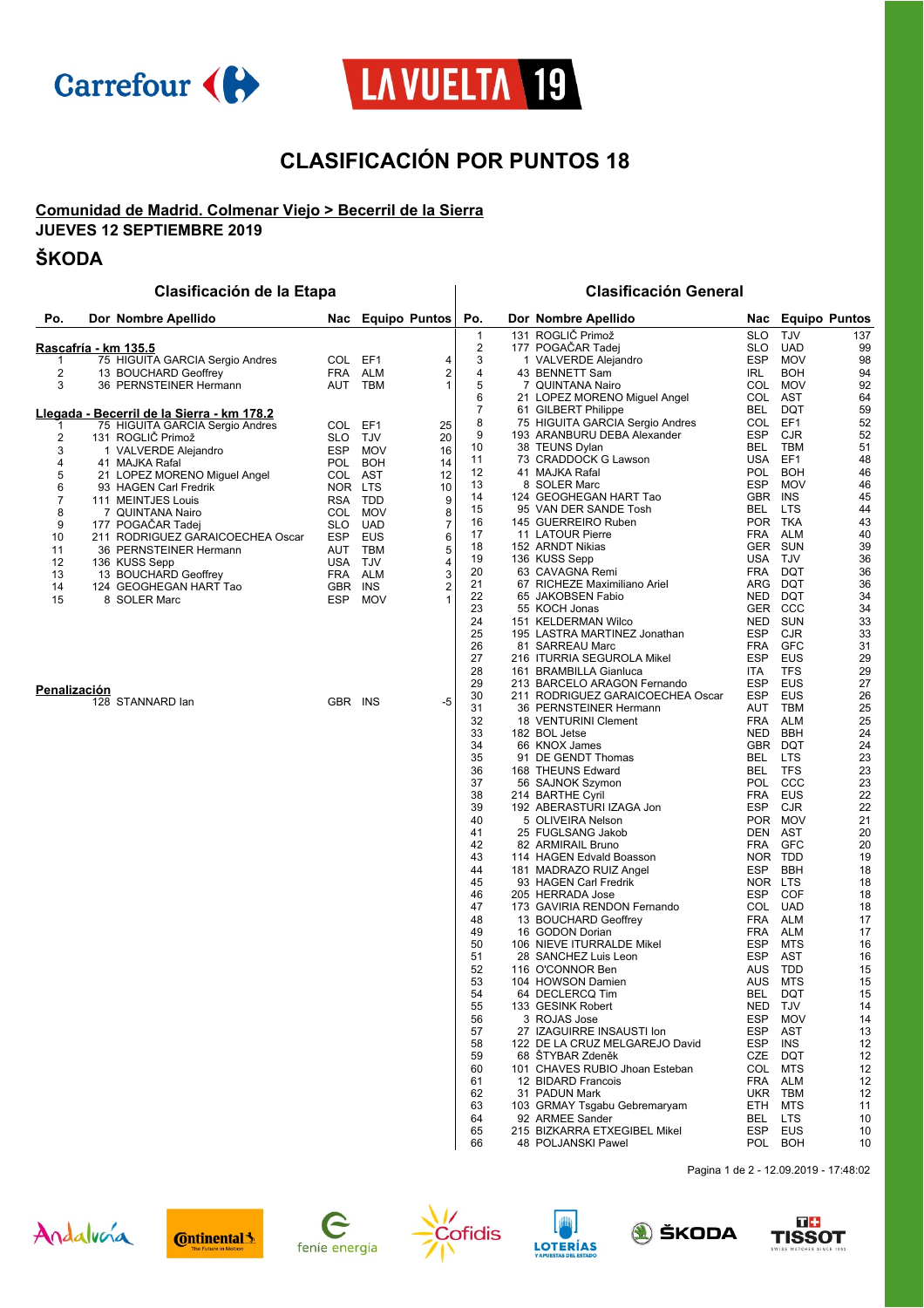



# **CLASIFICACIÓN POR PUNTOS 18**

## **Comunidad de Madrid. Colmenar Viejo > Becerril de la Sierra**

**JUEVES 12 SEPTIEMBRE 2019**

## **ŠKODA**

### **Clasificación de la Etapa Clasificación General**

| Po.                 | Dor Nombre Apellido                                                                   |                | Nac Equipo Puntos  |        | Po.                     | Dor Nombre Apellido                              | Nac               | <b>Equipo Puntos</b>     |          |
|---------------------|---------------------------------------------------------------------------------------|----------------|--------------------|--------|-------------------------|--------------------------------------------------|-------------------|--------------------------|----------|
|                     |                                                                                       |                |                    |        | 1                       | 131 ROGLIČ Primož                                | <b>SLO</b>        | <b>TJV</b>               | 137      |
|                     | <u>Rascafría - km 135.5</u>                                                           |                |                    |        | $\overline{\mathbf{c}}$ | 177 POGACAR Tadej                                | SLO               | <b>UAD</b>               | 99       |
| 1                   | 75 HIGUITA GARCIA Sergio Andres                                                       | COL EF1        |                    | 4      | 3                       | 1 VALVERDE Alejandro                             | <b>ESP</b>        | <b>MOV</b>               | 98       |
| 2<br>3              | 13 BOUCHARD Geoffrey<br>36 PERNSTEINER Hermann                                        | FRA            | <b>ALM</b>         | 2<br>1 | 4<br>5                  | 43 BENNETT Sam                                   | <b>IRL</b>        | <b>BOH</b>               | 94       |
|                     |                                                                                       | AUT            | TBM                |        | 6                       | 7 QUINTANA Nairo<br>21 LOPEZ MORENO Miguel Angel | <b>COL</b><br>COL | MOV<br><b>AST</b>        | 92<br>64 |
|                     |                                                                                       |                |                    |        | $\overline{7}$          | 61 GILBERT Philippe                              | BEL               | DQT                      | 59       |
|                     | <u> Llegada - Becerril de la Sierra - km 178.2</u><br>75 HIGUITA GARCIA Sergio Andres | COL EF1        |                    | 25     | 8                       | 75 HIGUITA GARCIA Sergio Andres                  | <b>COL</b>        | EF1                      | 52       |
| 1<br>2              | 131 ROGLIČ Primož                                                                     | SLO.           | TJV                | 20     | 9                       | 193 ARANBURU DEBA Alexander                      | ESP               | <b>CJR</b>               | 52       |
| 3                   | 1 VALVERDE Alejandro                                                                  | ESP            | <b>MOV</b>         | 16     | 10                      | 38 TEUNS Dylan                                   | BEL               | <b>TBM</b>               | 51       |
| 4                   | 41 MAJKA Rafal                                                                        |                | POL BOH            | 14     | 11                      | 73 CRADDOCK G Lawson                             | USA               | EF1                      | 48       |
| 5                   | 21 LOPEZ MORENO Miguel Angel                                                          | COL AST        |                    | 12     | 12                      | 41 MAJKA Rafal                                   | <b>POL</b>        | <b>BOH</b>               | 46       |
| 6                   | 93 HAGEN Carl Fredrik                                                                 | NOR LTS        |                    | 10     | 13                      | 8 SOLER Marc                                     | <b>ESP</b>        | <b>MOV</b>               | 46       |
| 7                   | 111 MEINTJES Louis                                                                    |                | RSA TDD            | 9      | 14                      | 124 GEOGHEGAN HART Tao                           | GBR               | <b>INS</b>               | 45       |
| 8                   | 7 QUINTANA Nairo                                                                      |                | COL MOV            | 8      | 15<br>16                | 95 VAN DER SANDE Tosh<br>145 GUERREIRO Ruben     | BEL<br>POR TKA    | <b>LTS</b>               | 44<br>43 |
| 9                   | 177 POGACAR Tadej                                                                     |                | SLO UAD            | 7      | 17                      | 11 LATOUR Pierre                                 | <b>FRA</b>        | ALM                      | 40       |
| 10<br>11            | 211 RODRIGUEZ GARAICOECHEA Oscar<br>36 PERNSTEINER Hermann                            |                | ESP EUS<br>AUT TBM | 6<br>5 | 18                      | 152 ARNDT Nikias                                 | <b>GER</b>        | <b>SUN</b>               | 39       |
| 12                  | 136 KUSS Sepp                                                                         | USA TJV        |                    | 4      | 19                      | 136 KUSS Sepp                                    | USA               | TJV                      | 36       |
| 13                  | 13 BOUCHARD Geoffrey                                                                  |                | FRA ALM            | 3      | 20                      | 63 CAVAGNA Remi                                  | <b>FRA</b>        | DQT                      | 36       |
| 14                  | 124 GEOGHEGAN HART Tao                                                                | GBR INS        |                    | 2      | 21                      | 67 RICHEZE Maximiliano Ariel                     | ARG               | <b>DQT</b>               | 36       |
| 15                  | 8 SOLER Marc                                                                          | ESP            | <b>MOV</b>         | 1      | 22                      | 65 JAKOBSEN Fabio                                | NED               | DQT                      | 34       |
|                     |                                                                                       |                |                    |        | 23                      | 55 KOCH Jonas                                    | GER               | CCC                      | 34       |
|                     |                                                                                       |                |                    |        | 24                      | 151 KELDERMAN Wilco                              | <b>NED</b>        | <b>SUN</b>               | 33       |
|                     |                                                                                       |                |                    |        | 25<br>26                | 195 LASTRA MARTINEZ Jonathan<br>81 SARREAU Marc  | ESP<br><b>FRA</b> | <b>CJR</b><br><b>GFC</b> | 33<br>31 |
|                     |                                                                                       |                |                    |        | 27                      | 216 ITURRIA SEGUROLA Mikel                       | <b>ESP</b>        | <b>EUS</b>               | 29       |
|                     |                                                                                       |                |                    |        | 28                      | 161 BRAMBILLA Gianluca                           | ITA               | <b>TFS</b>               | 29       |
|                     |                                                                                       |                |                    |        | 29                      | 213 BARCELO ARAGON Fernando                      | <b>ESP</b>        | EUS                      | 27       |
| <b>Penalización</b> |                                                                                       | <b>GBR INS</b> |                    |        | 30                      | 211 RODRIGUEZ GARAICOECHEA Oscar                 | <b>ESP</b>        | <b>EUS</b>               | 26       |
|                     | 128 STANNARD lan                                                                      |                |                    | -5     | 31                      | 36 PERNSTEINER Hermann                           | AUT               | <b>TBM</b>               | 25       |
|                     |                                                                                       |                |                    |        | 32                      | 18 VENTURINI Clement                             | FRA               | ALM                      | 25       |
|                     |                                                                                       |                |                    |        | 33                      | 182 BOL Jetse                                    | <b>NED</b>        | <b>BBH</b>               | 24       |
|                     |                                                                                       |                |                    |        | 34                      | 66 KNOX James                                    |                   | GBR DQT                  | 24       |
|                     |                                                                                       |                |                    |        | 35<br>36                | 91 DE GENDT Thomas<br>168 THEUNS Edward          | BEL<br>BEL        | <b>LTS</b><br><b>TFS</b> | 23<br>23 |
|                     |                                                                                       |                |                    |        | 37                      | 56 SAJNOK Szymon                                 | <b>POL</b>        | CCC                      | 23       |
|                     |                                                                                       |                |                    |        | 38                      | 214 BARTHE Cyril                                 | <b>FRA</b>        | EUS                      | 22       |
|                     |                                                                                       |                |                    |        | 39                      | 192 ABERASTURI IZAGA Jon                         | ESP               | <b>CJR</b>               | 22       |
|                     |                                                                                       |                |                    |        | 40                      | 5 OLIVEIRA Nelson                                | POR               | <b>MOV</b>               | 21       |
|                     |                                                                                       |                |                    |        | 41                      | 25 FUGLSANG Jakob                                | DEN               | AST                      | 20       |
|                     |                                                                                       |                |                    |        | 42                      | 82 ARMIRAIL Bruno                                | <b>FRA</b>        | <b>GFC</b>               | 20       |
|                     |                                                                                       |                |                    |        | 43                      | 114 HAGEN Edvald Boasson                         | NOR TDD           |                          | 19       |
|                     |                                                                                       |                |                    |        | 44<br>45                | 181 MADRAZO RUIZ Angel<br>93 HAGEN Carl Fredrik  | ESP<br><b>NOR</b> | <b>BBH</b><br>LTS        | 18<br>18 |
|                     |                                                                                       |                |                    |        | 46                      | 205 HERRADA Jose                                 | ESP               | COF                      | 18       |
|                     |                                                                                       |                |                    |        | 47                      | 173 GAVIRIA RENDON Fernando                      | COL               | <b>UAD</b>               | 18       |
|                     |                                                                                       |                |                    |        | 48                      | 13 BOUCHARD Geoffrey                             | FRA               | <b>ALM</b>               | 17       |
|                     |                                                                                       |                |                    |        | 49                      | 16 GODON Dorian                                  | FRA               | <b>ALM</b>               | 17       |
|                     |                                                                                       |                |                    |        | 50                      | 106 NIEVE ITURRALDE Mikel                        | <b>ESP</b>        | MTS                      | 16       |
|                     |                                                                                       |                |                    |        | 51                      | 28 SANCHEZ Luis Leon                             | <b>ESP</b>        | AST                      | 16       |
|                     |                                                                                       |                |                    |        | 52<br>53                | 116 O'CONNOR Ben<br>104 HOWSON Damien            | AUS<br>AUS        | <b>TDD</b><br>MTS        | 15<br>15 |
|                     |                                                                                       |                |                    |        | 54                      | 64 DECLERCQ Tim                                  | BEL               | DQT                      | 15       |
|                     |                                                                                       |                |                    |        | 55                      | 133 GESINK Robert                                | NED               | <b>TJV</b>               | 14       |
|                     |                                                                                       |                |                    |        | 56                      | 3 ROJAS Jose                                     | ESP               | <b>MOV</b>               | 14       |
|                     |                                                                                       |                |                    |        | 57                      | 27 IZAGUIRRE INSAUSTI Ion                        | <b>ESP</b>        | AST                      | 13       |
|                     |                                                                                       |                |                    |        | 58                      | 122 DE LA CRUZ MELGAREJO David                   | ESP               | INS                      | 12       |
|                     |                                                                                       |                |                    |        | 59                      | 68 STYBAR Zdeněk                                 | CZE               | DQT                      | 12       |
|                     |                                                                                       |                |                    |        | 60                      | 101 CHAVES RUBIO Jhoan Esteban                   | COL               | MTS                      | 12       |
|                     |                                                                                       |                |                    |        | 61<br>62                | 12 BIDARD Francois<br>31 PADUN Mark              | FRA<br>UKR        | ALM<br>TBM               | 12       |
|                     |                                                                                       |                |                    |        | 63                      | 103 GRMAY Tsgabu Gebremaryam                     | ETH               | MTS                      | 12<br>11 |
|                     |                                                                                       |                |                    |        | 64                      | 92 ARMEE Sander                                  | BEL               | LTS                      | 10       |
|                     |                                                                                       |                |                    |        | 65                      | 215 BIZKARRA ETXEGIBEL Mikel                     | ESP               | EUS                      | 10       |
|                     |                                                                                       |                |                    |        | 66                      | 48 POLJANSKI Pawel                               |                   | POL BOH                  | 10       |

Pagina 1 de 2 - 12.09.2019 - 17:48:02